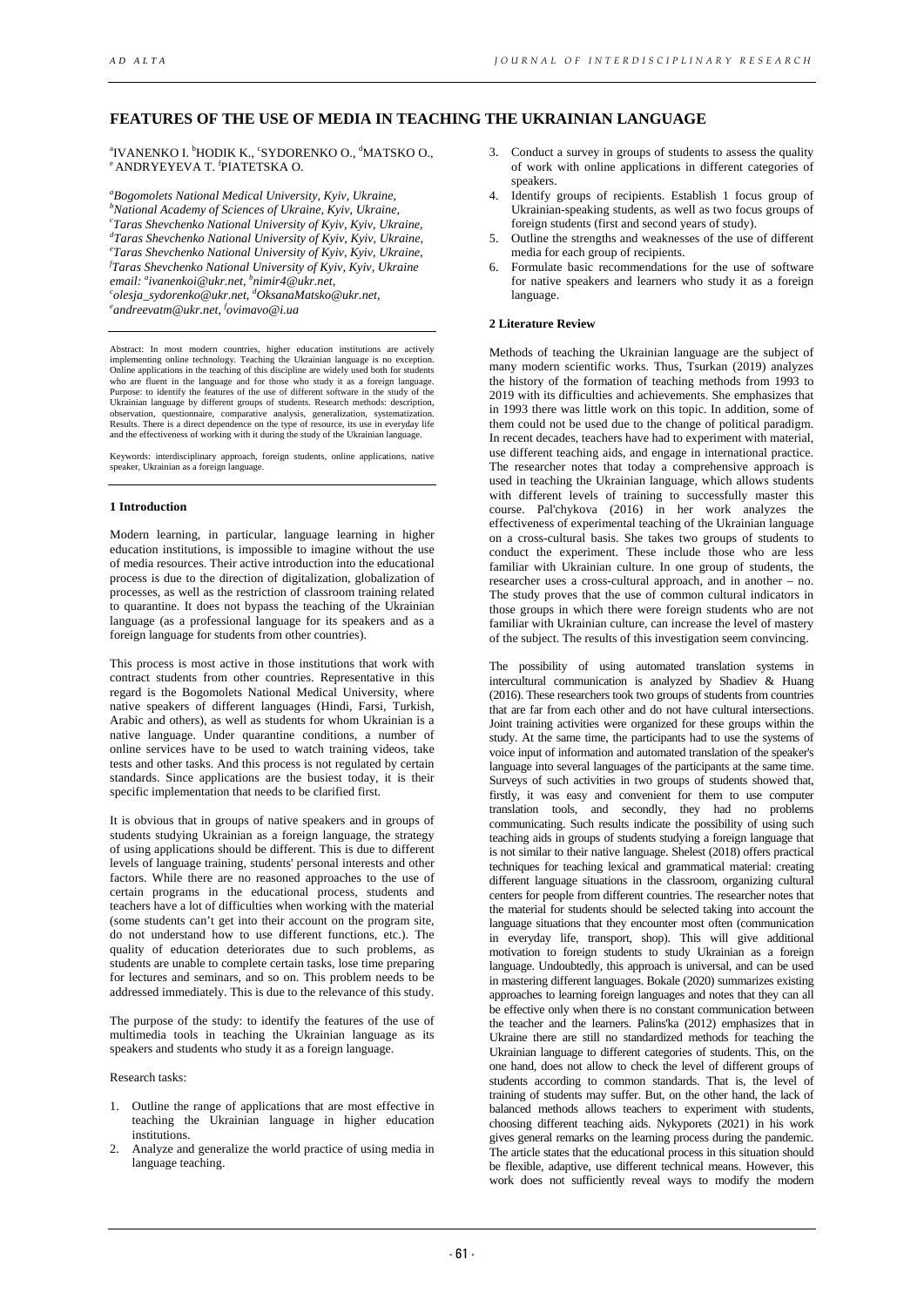# **FEATURES OF THE USE OF MEDIA IN TEACHING THE UKRAINIAN LANGUAGE**

ªIVANENKO I. <sup>b</sup>HODIK K., °SYDORENKO O., <sup>a</sup>MATSKO O.,<br>° ANDRYEYEVA T. <sup>f</sup>PIATETSKA O. <sup>e</sup> ANDRYEYEVA T. <sup>f</sup>PIATETSKA O.

*a Bogomolets National Medical University, Kyiv, Ukraine, b National Academy of Sciences of Ukraine, Kyiv, Ukraine, c Taras Shevchenko National University of Kyiv, Kyiv, Ukraine, d Taras Shevchenko National University of Kyiv, Kyiv, Ukraine, e Taras Shevchenko National University of Kyiv, Kyiv, Ukraine, f email: a ivanenkoi@ukr.net, b nimir4@ukr.net, c Taras Shevchenko National University of Kyiv, Kyiv, Ukraine olesja\_sydorenko@ukr.net, d OksanaMatsko@ukr.net, e andreevatm@ukr.net, f ovimavo@i.ua* 

Abstract: In most modern countries, higher education institutions are actively implementing online technology. Teaching the Ukrainian language is no exception. Online applications in the teaching of this discipline are widely used both for students who are fluent in the language and for those who study it as a foreign language. Purpose: to identify the features of the use of different software in the study of the Ukrainian language by different groups of students. Research methods: description, observation aire, comparative analysis, generalization, systematization.<br>Observation, questionnaire, comparative analysis, generalization, and the effectiveness of working with it during the study of the Ukrainian language.

Keywords: interdisciplinary approach, foreign students, online applications, native speaker, Ukrainian as a foreign language.

## **1 Introduction**

Modern learning, in particular, language learning in higher education institutions, is impossible to imagine without the use of media resources. Their active introduction into the educational process is due to the direction of digitalization, globalization of processes, as well as the restriction of classroom training related to quarantine. It does not bypass the teaching of the Ukrainian language (as a professional language for its speakers and as a foreign language for students from other countries).

This process is most active in those institutions that work with contract students from other countries. Representative in this regard is the Bogomolets National Medical University, where native speakers of different languages (Hindi, Farsi, Turkish, Arabic and others), as well as students for whom Ukrainian is a native language. Under quarantine conditions, a number of online services have to be used to watch training videos, take tests and other tasks. And this process is not regulated by certain standards. Since applications are the busiest today, it is their specific implementation that needs to be clarified first.

It is obvious that in groups of native speakers and in groups of students studying Ukrainian as a foreign language, the strategy of using applications should be different. This is due to different levels of language training, students' personal interests and other factors. While there are no reasoned approaches to the use of certain programs in the educational process, students and teachers have a lot of difficulties when working with the material (some students can't get into their account on the program site, do not understand how to use different functions, etc.). The quality of education deteriorates due to such problems, as students are unable to complete certain tasks, lose time preparing for lectures and seminars, and so on. This problem needs to be addressed immediately. This is due to the relevance of this study.

The purpose of the study: to identify the features of the use of multimedia tools in teaching the Ukrainian language as its speakers and students who study it as a foreign language.

#### Research tasks:

- 1. Outline the range of applications that are most effective in teaching the Ukrainian language in higher education institutions.
- 2. Analyze and generalize the world practice of using media in language teaching.
- 3. Conduct a survey in groups of students to assess the quality of work with online applications in different categories of speakers.
- 4. Identify groups of recipients. Establish 1 focus group of Ukrainian-speaking students, as well as two focus groups of foreign students (first and second years of study).
- 5. Outline the strengths and weaknesses of the use of different media for each group of recipients.
- 6. Formulate basic recommendations for the use of software for native speakers and learners who study it as a foreign language.

## **2 Literature Review**

Methods of teaching the Ukrainian language are the subject of many modern scientific works. Thus, Tsurkan (2019) analyzes the history of the formation of teaching methods from 1993 to 2019 with its difficulties and achievements. She emphasizes that in 1993 there was little work on this topic. In addition, some of them could not be used due to the change of political paradigm. In recent decades, teachers have had to experiment with material, use different teaching aids, and engage in international practice. The researcher notes that today a comprehensive approach is used in teaching the Ukrainian language, which allows students with different levels of training to successfully master this course. Pal'chykova (2016) in her work analyzes the effectiveness of experimental teaching of the Ukrainian language on a cross-cultural basis. She takes two groups of students to conduct the experiment. These include those who are less familiar with Ukrainian culture. In one group of students, the researcher uses a cross-cultural approach, and in another – no. The study proves that the use of common cultural indicators in those groups in which there were foreign students who are not familiar with Ukrainian culture, can increase the level of mastery of the subject. The results of this investigation seem convincing.

The possibility of using automated translation systems in intercultural communication is analyzed by Shadiev & Huang (2016). These researchers took two groups of students from countries that are far from each other and do not have cultural intersections. Joint training activities were organized for these groups within the study. At the same time, the participants had to use the systems of voice input of information and automated translation of the speaker's language into several languages of the participants at the same time. Surveys of such activities in two groups of students showed that, firstly, it was easy and convenient for them to use computer translation tools, and secondly, they had no problems communicating. Such results indicate the possibility of using such teaching aids in groups of students studying a foreign language that is not similar to their native language. Shelest (2018) offers practical techniques for teaching lexical and grammatical material: creating different language situations in the classroom, organizing cultural centers for people from different countries. The researcher notes that the material for students should be selected taking into account the language situations that they encounter most often (communication in everyday life, transport, shop). This will give additional motivation to foreign students to study Ukrainian as a foreign language. Undoubtedly, this approach is universal, and can be used in mastering different languages. Bokale (2020) summarizes existing approaches to learning foreign languages and notes that they can all be effective only when there is no constant communication between the teacher and the learners. Palins'ka (2012) emphasizes that in Ukraine there are still no standardized methods for teaching the Ukrainian language to different categories of students. This, on the one hand, does not allow to check the level of different groups of students according to common standards. That is, the level of training of students may suffer. But, on the other hand, the lack of balanced methods allows teachers to experiment with students, choosing different teaching aids. Nykyporets (2021) in his work gives general remarks on the learning process during the pandemic. The article states that the educational process in this situation should be flexible, adaptive, use different technical means. However, this work does not sufficiently reveal ways to modify the modern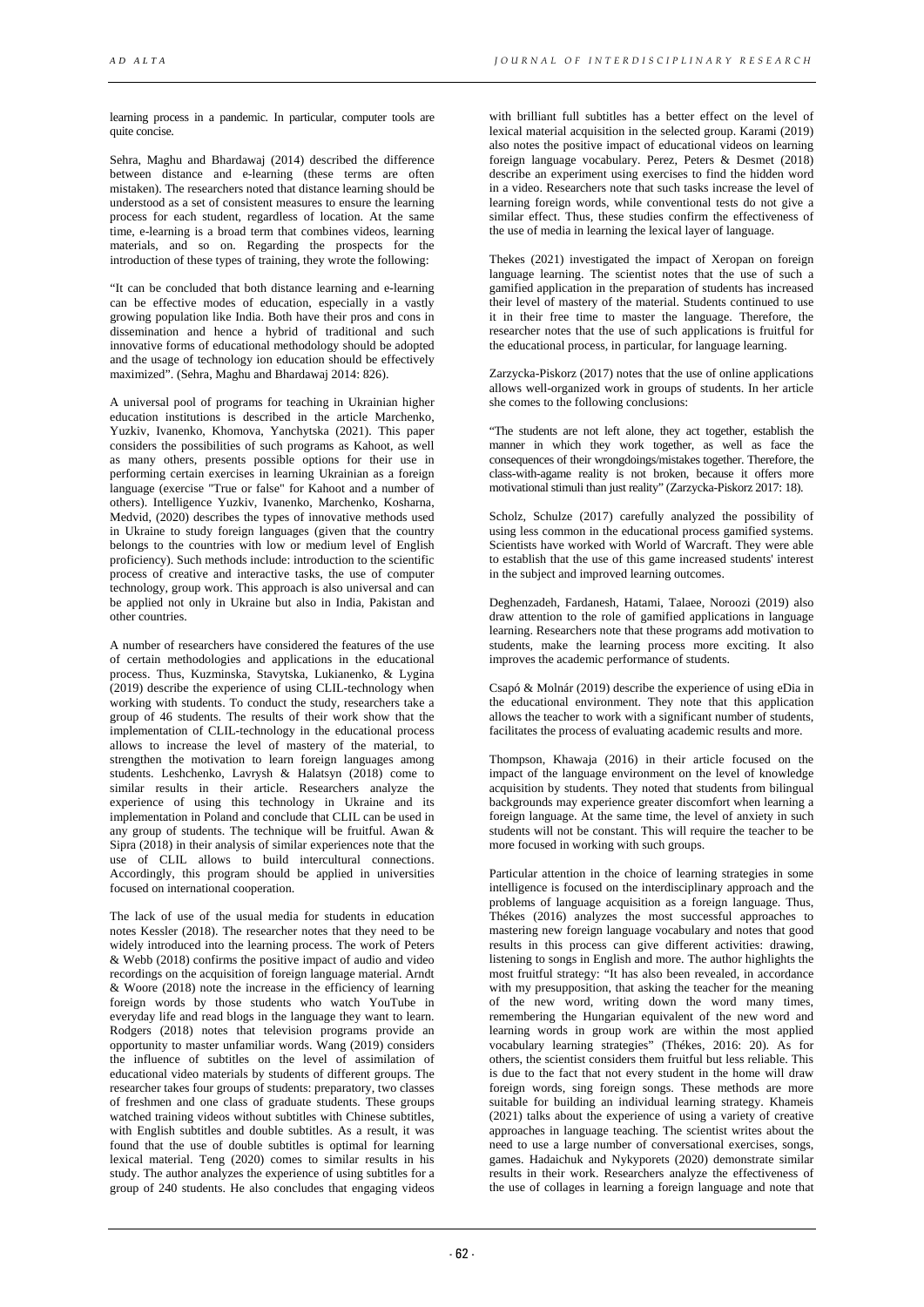learning process in a pandemic. In particular, computer tools are quite concise.

Sehra, Maghu and Bhardawaj (2014) described the difference between distance and e-learning (these terms are often mistaken). The researchers noted that distance learning should be understood as a set of consistent measures to ensure the learning process for each student, regardless of location. At the same time, e-learning is a broad term that combines videos, learning materials, and so on. Regarding the prospects for the introduction of these types of training, they wrote the following:

"It can be concluded that both distance learning and e-learning can be effective modes of education, especially in a vastly growing population like India. Both have their pros and cons in dissemination and hence a hybrid of traditional and such innovative forms of educational methodology should be adopted and the usage of technology ion education should be effectively maximized". (Sehra, Maghu and Bhardawaj 2014: 826).

A universal pool of programs for teaching in Ukrainian higher education institutions is described in the article Marchenko, Yuzkiv, Ivanenko, Khomova, Yanchytska (2021). This paper considers the possibilities of such programs as Kahoot, as well as many others, presents possible options for their use in performing certain exercises in learning Ukrainian as a foreign language (exercise "True or false" for Kahoot and a number of others). Intelligence Yuzkiv, Ivanenko, Marchenko, Kosharna, Medvid, (2020) describes the types of innovative methods used in Ukraine to study foreign languages (given that the country belongs to the countries with low or medium level of English proficiency). Such methods include: introduction to the scientific process of creative and interactive tasks, the use of computer technology, group work. This approach is also universal and can be applied not only in Ukraine but also in India, Pakistan and other countries.

A number of researchers have considered the features of the use of certain methodologies and applications in the educational process. Thus, Kuzminska, Stavytska, Lukianenko, & Lygina (2019) describe the experience of using CLIL-technology when working with students. To conduct the study, researchers take a group of 46 students. The results of their work show that the implementation of CLIL-technology in the educational process allows to increase the level of mastery of the material, to strengthen the motivation to learn foreign languages among students. Leshchenko, Lavrysh & Halatsyn (2018) come to similar results in their article. Researchers analyze the experience of using this technology in Ukraine and its implementation in Poland and conclude that CLIL can be used in any group of students. The technique will be fruitful. Awan & Sipra (2018) in their analysis of similar experiences note that the use of CLIL allows to build intercultural connections. Accordingly, this program should be applied in universities focused on international cooperation.

The lack of use of the usual media for students in education notes Kessler (2018). The researcher notes that they need to be widely introduced into the learning process. The work of Peters & Webb (2018) confirms the positive impact of audio and video recordings on the acquisition of foreign language material. Arndt & Woore (2018) note the increase in the efficiency of learning foreign words by those students who watch YouTube in everyday life and read blogs in the language they want to learn. Rodgers (2018) notes that television programs provide an opportunity to master unfamiliar words. Wang (2019) considers the influence of subtitles on the level of assimilation of educational video materials by students of different groups. The researcher takes four groups of students: preparatory, two classes of freshmen and one class of graduate students. These groups watched training videos without subtitles with Chinese subtitles, with English subtitles and double subtitles. As a result, it was found that the use of double subtitles is optimal for learning lexical material. Teng (2020) comes to similar results in his study. The author analyzes the experience of using subtitles for a group of 240 students. He also concludes that engaging videos

with brilliant full subtitles has a better effect on the level of lexical material acquisition in the selected group. Karami (2019) also notes the positive impact of educational videos on learning foreign language vocabulary. Perez, Peters & Desmet (2018) describe an experiment using exercises to find the hidden word in a video. Researchers note that such tasks increase the level of learning foreign words, while conventional tests do not give a similar effect. Thus, these studies confirm the effectiveness of the use of media in learning the lexical layer of language.

Thekes (2021) investigated the impact of Xeropan on foreign language learning. The scientist notes that the use of such a gamified application in the preparation of students has increased their level of mastery of the material. Students continued to use it in their free time to master the language. Therefore, the researcher notes that the use of such applications is fruitful for the educational process, in particular, for language learning.

Zarzycka-Piskorz (2017) notes that the use of online applications allows well-organized work in groups of students. In her article she comes to the following conclusions:

"The students are not left alone, they act together, establish the manner in which they work together, as well as face the consequences of their wrongdoings/mistakes together. Therefore, the class-with-agame reality is not broken, because it offers more motivational stimuli than just reality" (Zarzycka-Piskorz 2017: 18).

Scholz, Schulze (2017) carefully analyzed the possibility of using less common in the educational process gamified systems. Scientists have worked with World of Warcraft. They were able to establish that the use of this game increased students' interest in the subject and improved learning outcomes.

Deghenzadeh, Fardanesh, Hatami, Talaee, Noroozi (2019) also draw attention to the role of gamified applications in language learning. Researchers note that these programs add motivation to students, make the learning process more exciting. It also improves the academic performance of students.

Csapó & Molnár (2019) describe the experience of using eDia in the educational environment. They note that this application allows the teacher to work with a significant number of students, facilitates the process of evaluating academic results and more.

Thompson, Khawaja (2016) in their article focused on the impact of the language environment on the level of knowledge acquisition by students. They noted that students from bilingual backgrounds may experience greater discomfort when learning a foreign language. At the same time, the level of anxiety in such students will not be constant. This will require the teacher to be more focused in working with such groups.

Particular attention in the choice of learning strategies in some intelligence is focused on the interdisciplinary approach and the problems of language acquisition as a foreign language. Thus, Thékes (2016) analyzes the most successful approaches to mastering new foreign language vocabulary and notes that good results in this process can give different activities: drawing, listening to songs in English and more. The author highlights the most fruitful strategy: "It has also been revealed, in accordance with my presupposition, that asking the teacher for the meaning of the new word, writing down the word many times, remembering the Hungarian equivalent of the new word and learning words in group work are within the most applied vocabulary learning strategies" (Thékes, 2016: 20). As for others, the scientist considers them fruitful but less reliable. This is due to the fact that not every student in the home will draw foreign words, sing foreign songs. These methods are more suitable for building an individual learning strategy. Khameis (2021) talks about the experience of using a variety of creative approaches in language teaching. The scientist writes about the need to use a large number of conversational exercises, songs, games. Hadaichuk and Nykyporets (2020) demonstrate similar results in their work. Researchers analyze the effectiveness of the use of collages in learning a foreign language and note that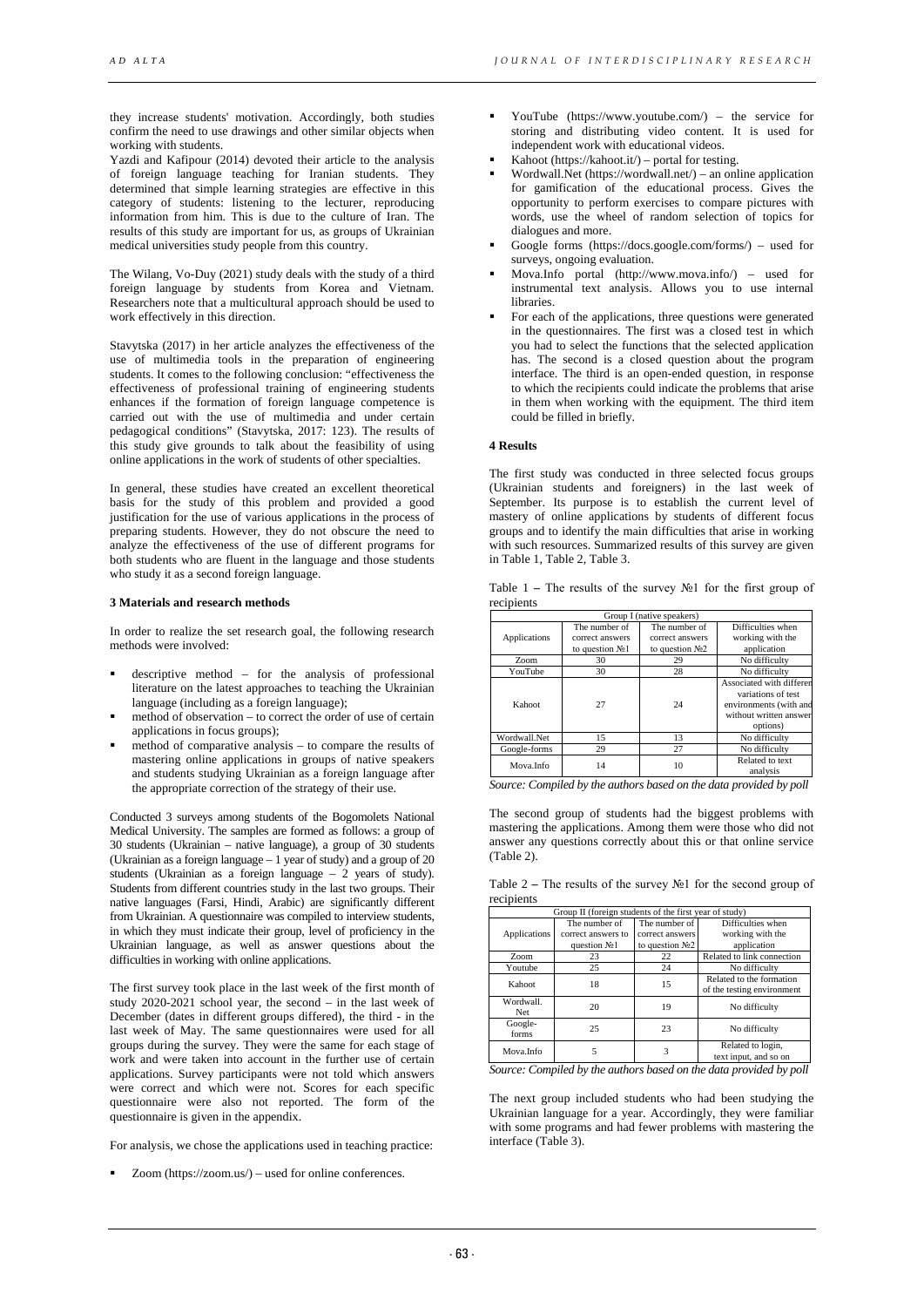they increase students' motivation. Accordingly, both studies confirm the need to use drawings and other similar objects when working with students.

Yazdi and Kafipour (2014) devoted their article to the analysis of foreign language teaching for Iranian students. They determined that simple learning strategies are effective in this category of students: listening to the lecturer, reproducing information from him. This is due to the culture of Iran. The results of this study are important for us, as groups of Ukrainian medical universities study people from this country.

The Wilang, Vo-Duy (2021) study deals with the study of a third foreign language by students from Korea and Vietnam. Researchers note that a multicultural approach should be used to work effectively in this direction.

Stavytska (2017) in her article analyzes the effectiveness of the use of multimedia tools in the preparation of engineering students. It comes to the following conclusion: "effectiveness the effectiveness of professional training of engineering students enhances if the formation of foreign language competence is carried out with the use of multimedia and under certain pedagogical conditions" (Stavytska, 2017: 123). The results of this study give grounds to talk about the feasibility of using online applications in the work of students of other specialties.

In general, these studies have created an excellent theoretical basis for the study of this problem and provided a good justification for the use of various applications in the process of preparing students. However, they do not obscure the need to analyze the effectiveness of the use of different programs for both students who are fluent in the language and those students who study it as a second foreign language.

## **3 Materials and research methods**

In order to realize the set research goal, the following research methods were involved:

- descriptive method for the analysis of professional literature on the latest approaches to teaching the Ukrainian language (including as a foreign language);
- method of observation to correct the order of use of certain applications in focus groups);
- method of comparative analysis to compare the results of mastering online applications in groups of native speakers and students studying Ukrainian as a foreign language after the appropriate correction of the strategy of their use.

Conducted 3 surveys among students of the Bogomolets National Medical University. The samples are formed as follows: a group of 30 students (Ukrainian – native language), a group of 30 students (Ukrainian as a foreign language  $-1$  year of study) and a group of 20 students (Ukrainian as a foreign language – 2 years of study). Students from different countries study in the last two groups. Their native languages (Farsi, Hindi, Arabic) are significantly different from Ukrainian. A questionnaire was compiled to interview students, in which they must indicate their group, level of proficiency in the Ukrainian language, as well as answer questions about the difficulties in working with online applications.

The first survey took place in the last week of the first month of study 2020-2021 school year, the second – in the last week of December (dates in different groups differed), the third - in the last week of May. The same questionnaires were used for all groups during the survey. They were the same for each stage of work and were taken into account in the further use of certain applications. Survey participants were not told which answers were correct and which were not. Scores for each specific questionnaire were also not reported. The form of the questionnaire is given in the appendix.

For analysis, we chose the applications used in teaching practice:

Zoom (https://zoom.us/) – used for online conferences.

- YouTube (https://www.youtube.com/) the service for storing and distributing video content. It is used for independent work with educational videos.
- Kahoot (https://kahoot.it/) portal for testing.
- Wordwall.Net (https://wordwall.net/) an online application for gamification of the educational process. Gives the opportunity to perform exercises to compare pictures with words, use the wheel of random selection of topics for dialogues and more.
- Google forms (https://docs.google.com/forms/) used for surveys, ongoing evaluation.
- Mova.Info portal (http://www.mova.info/) used for instrumental text analysis. Allows you to use internal libraries.
- For each of the applications, three questions were generated in the questionnaires. The first was a closed test in which you had to select the functions that the selected application has. The second is a closed question about the program interface. The third is an open-ended question, in response to which the recipients could indicate the problems that arise in them when working with the equipment. The third item could be filled in briefly.

### **4 Results**

The first study was conducted in three selected focus groups (Ukrainian students and foreigners) in the last week of September. Its purpose is to establish the current level of mastery of online applications by students of different focus groups and to identify the main difficulties that arise in working with such resources. Summarized results of this survey are given in Table 1, Table 2, Table 3.

| Table 1 – The results of the survey $N21$ for the first group of |  |  |  |  |  |  |
|------------------------------------------------------------------|--|--|--|--|--|--|
| recipients                                                       |  |  |  |  |  |  |

| Group I (native speakers) |                   |                  |                                                                                                                |  |  |  |  |
|---------------------------|-------------------|------------------|----------------------------------------------------------------------------------------------------------------|--|--|--|--|
|                           | The number of     | The number of    | Difficulties when                                                                                              |  |  |  |  |
| Applications              | correct answers   | correct answers  | working with the                                                                                               |  |  |  |  |
|                           | to question $N21$ | to question $N2$ | application                                                                                                    |  |  |  |  |
| Z <sub>oom</sub>          | 30                | 29               | No difficulty                                                                                                  |  |  |  |  |
| YouTube                   | 30                | 28               | No difficulty                                                                                                  |  |  |  |  |
| Kahoot                    | 27                | 24               | Associated with differen<br>variations of test<br>environments (with and<br>without written answer<br>options) |  |  |  |  |
| Wordwall.Net              | 15                | 13               | No difficulty                                                                                                  |  |  |  |  |
| Google-forms              | 29                | 27               | No difficulty                                                                                                  |  |  |  |  |
| Mova.Info                 | 14                | 10               | Related to text<br>analysis                                                                                    |  |  |  |  |

*Source: Compiled by the authors based on the data provided by poll*

The second group of students had the biggest problems with mastering the applications. Among them were those who did not answer any questions correctly about this or that online service (Table 2).

Table 2 **–** The results of the survey №1 for the second group of recipients

|              | Group II (foreign students of the first year of study) |                   |                            |  |  |  |  |  |  |
|--------------|--------------------------------------------------------|-------------------|----------------------------|--|--|--|--|--|--|
|              | The number of                                          | The number of     | Difficulties when          |  |  |  |  |  |  |
| Applications | correct answers to                                     | correct answers   | working with the           |  |  |  |  |  |  |
|              | question No1                                           | to question $N22$ | application                |  |  |  |  |  |  |
| Zoom         | 23                                                     | 22                | Related to link connection |  |  |  |  |  |  |
| Youtube      | 25                                                     | 24                | No difficulty              |  |  |  |  |  |  |
| Kahoot       | 18                                                     | 15                | Related to the formation   |  |  |  |  |  |  |
|              |                                                        |                   | of the testing environment |  |  |  |  |  |  |
| Wordwall.    | 20                                                     | 19                | No difficulty              |  |  |  |  |  |  |
| <b>Net</b>   |                                                        |                   |                            |  |  |  |  |  |  |
| Google-      | 25                                                     | 23                | No difficulty              |  |  |  |  |  |  |
| forms        |                                                        |                   |                            |  |  |  |  |  |  |
| Mova.Info    | 5                                                      | 3                 | Related to login,          |  |  |  |  |  |  |
|              |                                                        |                   | text input, and so on      |  |  |  |  |  |  |

*Source: Compiled by the authors based on the data provided by poll*

The next group included students who had been studying the Ukrainian language for a year. Accordingly, they were familiar with some programs and had fewer problems with mastering the interface (Table 3).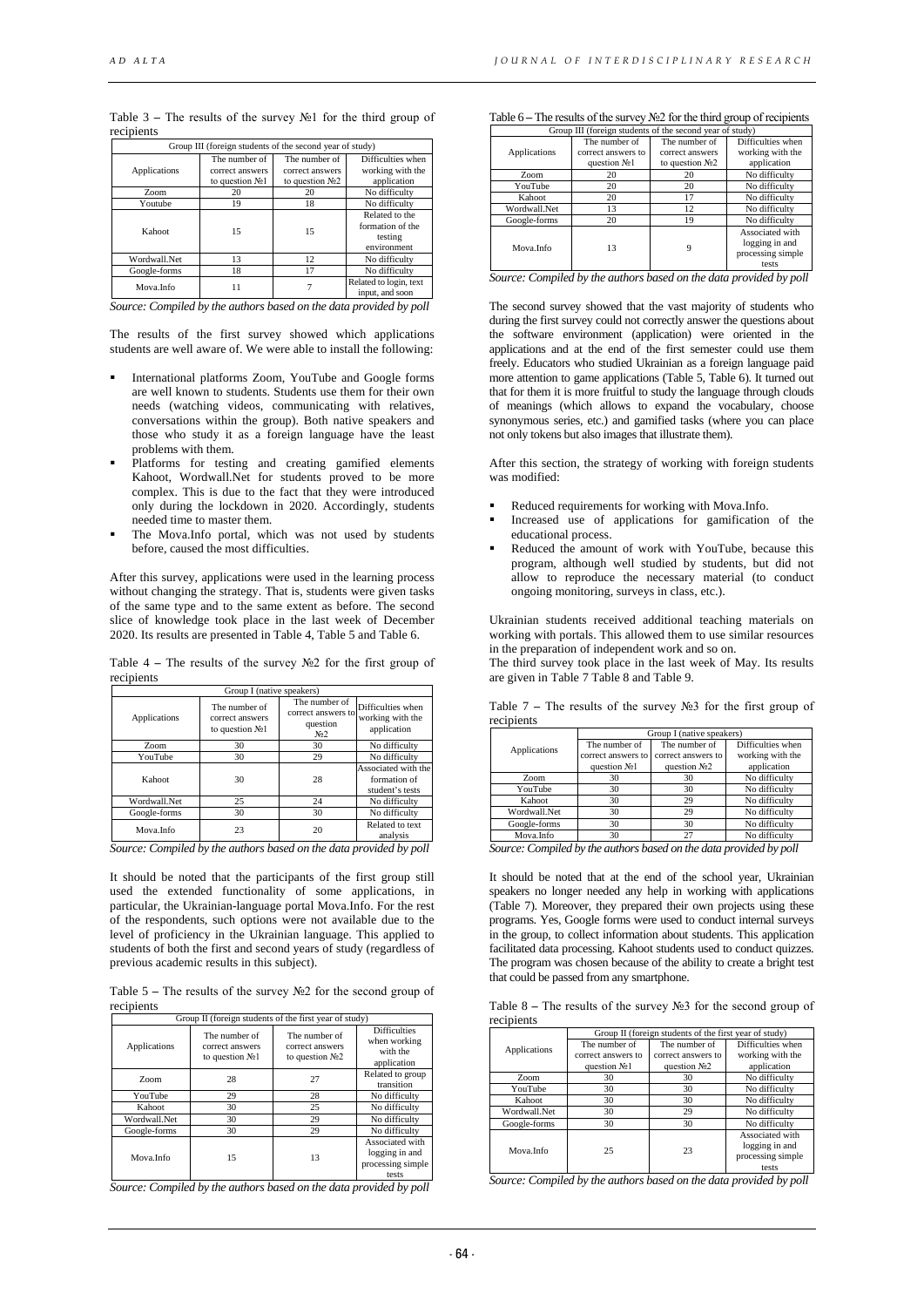| Group III (foreign students of the second year of study) |                                                       |                                                       |                                                              |  |  |  |  |  |
|----------------------------------------------------------|-------------------------------------------------------|-------------------------------------------------------|--------------------------------------------------------------|--|--|--|--|--|
| Applications                                             | The number of<br>correct answers<br>to question $N21$ | The number of<br>correct answers<br>to question $N22$ | Difficulties when<br>working with the<br>application         |  |  |  |  |  |
| Z <sub>oom</sub>                                         | 20                                                    | 20                                                    | No difficulty                                                |  |  |  |  |  |
| Youtube                                                  | 19                                                    | 18                                                    | No difficulty                                                |  |  |  |  |  |
| Kahoot                                                   | 15                                                    | 15                                                    | Related to the<br>formation of the<br>testing<br>environment |  |  |  |  |  |
| Wordwall.Net                                             | 13                                                    | 12                                                    | No difficulty                                                |  |  |  |  |  |
| Google-forms                                             | 18                                                    | 17                                                    | No difficulty                                                |  |  |  |  |  |
| Mova Info                                                | 11                                                    |                                                       | Related to login, text<br>input, and soon                    |  |  |  |  |  |

Table 3 **–** The results of the survey №1 for the third group of recipients

*Source: Compiled by the authors based on the data provided by poll*

The results of the first survey showed which applications students are well aware of. We were able to install the following:

- International platforms Zoom, YouTube and Google forms are well known to students. Students use them for their own needs (watching videos, communicating with relatives, conversations within the group). Both native speakers and those who study it as a foreign language have the least problems with them.
- Platforms for testing and creating gamified elements Kahoot, Wordwall.Net for students proved to be more complex. This is due to the fact that they were introduced only during the lockdown in 2020. Accordingly, students needed time to master them.
- The Mova.Info portal, which was not used by students before, caused the most difficulties.

After this survey, applications were used in the learning process without changing the strategy. That is, students were given tasks of the same type and to the same extent as before. The second slice of knowledge took place in the last week of December 2020. Its results are presented in Table 4, Table 5 and Table 6.

| Table 4 – The results of the survey $N2$ for the first group of |  |  |  |  |  |  |
|-----------------------------------------------------------------|--|--|--|--|--|--|
| recipients                                                      |  |  |  |  |  |  |

| Group I (native speakers)    |                                                          |                                                                     |                                                        |  |  |  |  |
|------------------------------|----------------------------------------------------------|---------------------------------------------------------------------|--------------------------------------------------------|--|--|--|--|
| Applications                 | The number of<br>correct answers<br>to question $N21$    | The number of<br>correct answers to<br>question<br>N <sub>0</sub> 2 | Difficulties when<br>working with the<br>application   |  |  |  |  |
| Z <sub>oom</sub>             | 30                                                       | 30                                                                  | No difficulty                                          |  |  |  |  |
| YouTube                      | 30                                                       | 29                                                                  | No difficulty                                          |  |  |  |  |
| Kahoot                       | 30                                                       | 28                                                                  | Associated with the<br>formation of<br>student's tests |  |  |  |  |
| Wordwall.Net                 | 25                                                       | 24                                                                  | No difficulty                                          |  |  |  |  |
| Google-forms                 | 30                                                       | 30                                                                  | No difficulty                                          |  |  |  |  |
| Mova.Info                    | 23                                                       | 20                                                                  | Related to text<br>analysis                            |  |  |  |  |
| $\cdots$<br>$\sim$<br>$\sim$ | $\mathbf{r}$<br>$\overline{\phantom{a}}$<br>$\mathbf{r}$ | $\cdot$ $\cdot$<br>$\sim$<br>$\sim$                                 | .<br>$\bullet$                                         |  |  |  |  |

*Source: Compiled by the authors based on the data provided by poll*

It should be noted that the participants of the first group still used the extended functionality of some applications, in particular, the Ukrainian-language portal Mova.Info. For the rest of the respondents, such options were not available due to the level of proficiency in the Ukrainian language. This applied to students of both the first and second years of study (regardless of previous academic results in this subject).

Table 5 **–** The results of the survey №2 for the second group of recipients

| Group II (foreign students of the first year of study) |                                                       |                                                       |                                                                 |  |  |
|--------------------------------------------------------|-------------------------------------------------------|-------------------------------------------------------|-----------------------------------------------------------------|--|--|
| Applications                                           | The number of<br>correct answers<br>to question $N21$ | The number of<br>correct answers<br>to question $N22$ | <b>Difficulties</b><br>when working<br>with the<br>application  |  |  |
| Zoom                                                   | 28                                                    | 27                                                    | Related to group<br>transition                                  |  |  |
| YouTube                                                | 29                                                    | 28                                                    | No difficulty                                                   |  |  |
| Kahoot                                                 | 30                                                    | 25                                                    | No difficulty                                                   |  |  |
| Wordwall.Net                                           | 30                                                    | 29                                                    | No difficulty                                                   |  |  |
| Google-forms                                           | 30                                                    | 29                                                    | No difficulty                                                   |  |  |
| Mova Info                                              | 15                                                    | 13                                                    | Associated with<br>logging in and<br>processing simple<br>tests |  |  |

*Source: Compiled by the authors based on the data provided by poll*

Table 6 **–** The results of the survey №2 for the third group of recipients

| Group III (foreign students of the second year of study) |                    |                  |                   |  |  |  |
|----------------------------------------------------------|--------------------|------------------|-------------------|--|--|--|
|                                                          | The number of      | The number of    | Difficulties when |  |  |  |
| Applications                                             | correct answers to | correct answers  | working with the  |  |  |  |
|                                                          | question No1       | to question $N2$ | application       |  |  |  |
| Z <sub>oom</sub>                                         | 20                 | 20               | No difficulty     |  |  |  |
| YouTube                                                  | 20                 | 20               | No difficulty     |  |  |  |
| Kahoot                                                   | 20                 | 17               | No difficulty     |  |  |  |
| Wordwall.Net                                             | 13                 | 12               | No difficulty     |  |  |  |
| Google-forms                                             | 20                 | 19               | No difficulty     |  |  |  |
|                                                          |                    |                  | Associated with   |  |  |  |
| Mova Info                                                | 13                 | 9                | logging in and    |  |  |  |
|                                                          |                    |                  | processing simple |  |  |  |
|                                                          |                    |                  | tests             |  |  |  |

*Source: Compiled by the authors based on the data provided by poll*

The second survey showed that the vast majority of students who during the first survey could not correctly answer the questions about the software environment (application) were oriented in the applications and at the end of the first semester could use them freely. Educators who studied Ukrainian as a foreign language paid more attention to game applications (Table 5, Table 6). It turned out that for them it is more fruitful to study the language through clouds of meanings (which allows to expand the vocabulary, choose synonymous series, etc.) and gamified tasks (where you can place not only tokens but also images that illustrate them).

After this section, the strategy of working with foreign students was modified:

- Reduced requirements for working with Mova.Info.
- Increased use of applications for gamification of the educational process.
- Reduced the amount of work with YouTube, because this program, although well studied by students, but did not allow to reproduce the necessary material (to conduct ongoing monitoring, surveys in class, etc.).

Ukrainian students received additional teaching materials on working with portals. This allowed them to use similar resources in the preparation of independent work and so on. The third survey took place in the last week of May. Its results

are given in Table 7 Table 8 and Table 9.

| Table 7 – The results of the survey $N23$ for the first group of |  |  |  |  |  |  |
|------------------------------------------------------------------|--|--|--|--|--|--|
| recipients                                                       |  |  |  |  |  |  |

|                                             | Group I (native speakers) |                                 |                   |  |  |  |
|---------------------------------------------|---------------------------|---------------------------------|-------------------|--|--|--|
| Applications                                | The number of             | The number of                   | Difficulties when |  |  |  |
|                                             | correct answers to        | correct answers to              | working with the  |  |  |  |
|                                             | question No <sub>1</sub>  | question No <sub>2</sub>        | application       |  |  |  |
| Zoom                                        | 30                        | 30                              | No difficulty     |  |  |  |
| YouTube                                     | 30                        | 30                              | No difficulty     |  |  |  |
| Kahoot                                      | 30                        | 29                              | No difficulty     |  |  |  |
| Wordwall.Net                                | 30                        | 29                              | No difficulty     |  |  |  |
| Google-forms                                | 30                        | 30                              | No difficulty     |  |  |  |
| Mova.Info                                   | 30                        | 27                              | No difficulty     |  |  |  |
| $\cdot$ $\cdot$<br>$\cdot$ .<br>-<br>$\sim$ | ۰<br>$\cdot$<br>$\cdot$   | $\bullet$<br>$\cdot$<br>$\cdot$ | .<br>$\bullet$    |  |  |  |

*Source: Compiled by the authors based on the data provided by poll*

It should be noted that at the end of the school year, Ukrainian speakers no longer needed any help in working with applications (Table 7). Moreover, they prepared their own projects using these programs. Yes, Google forms were used to conduct internal surveys in the group, to collect information about students. This application facilitated data processing. Kahoot students used to conduct quizzes. The program was chosen because of the ability to create a bright test that could be passed from any smartphone.

Table 8 **–** The results of the survey №3 for the second group of recipients

|              | Group II (foreign students of the first year of study) |                    |                   |  |  |  |  |
|--------------|--------------------------------------------------------|--------------------|-------------------|--|--|--|--|
| Applications | The number of                                          | The number of      | Difficulties when |  |  |  |  |
|              | correct answers to                                     | correct answers to | working with the  |  |  |  |  |
|              | question $N21$                                         | question $N2$      | application       |  |  |  |  |
| Zoom         | 30                                                     | 30                 | No difficulty     |  |  |  |  |
| YouTube      | 30                                                     | 30                 | No difficulty     |  |  |  |  |
| Kahoot       | 30                                                     | 30                 | No difficulty     |  |  |  |  |
| Wordwall.Net | 30                                                     | 29                 | No difficulty     |  |  |  |  |
| Google-forms | 30                                                     | 30                 | No difficulty     |  |  |  |  |
|              |                                                        |                    | Associated with   |  |  |  |  |
| Mova Info    | 25                                                     | 23                 | logging in and    |  |  |  |  |
|              |                                                        |                    | processing simple |  |  |  |  |
|              |                                                        |                    | tests             |  |  |  |  |

*Source: Compiled by the authors based on the data provided by poll*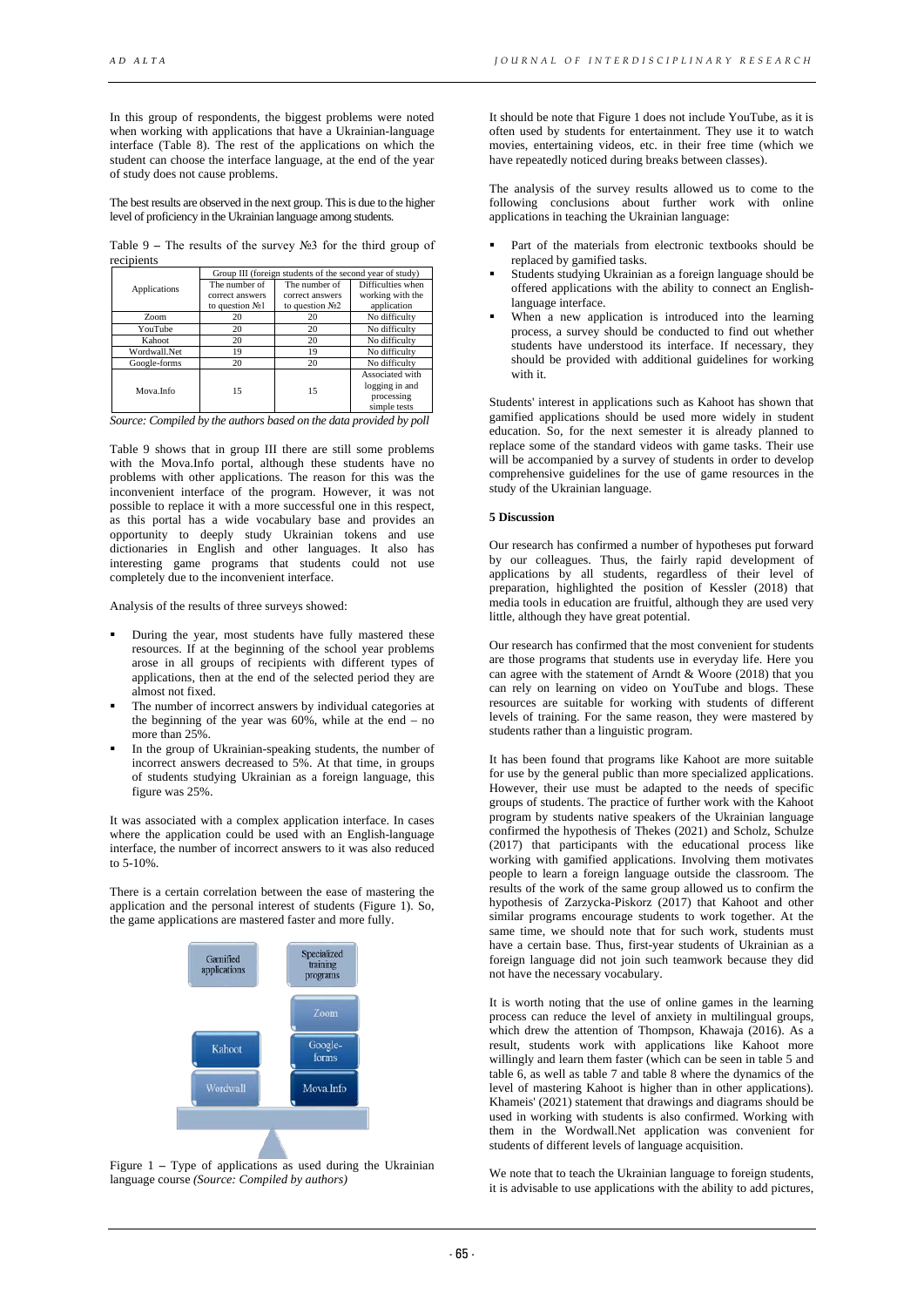In this group of respondents, the biggest problems were noted when working with applications that have a Ukrainian-language interface (Table 8). The rest of the applications on which the student can choose the interface language, at the end of the year of study does not cause problems.

The best results are observed in the next group. This is due to the higher level of proficiency in the Ukrainian language among students.

Table 9 **–** The results of the survey №3 for the third group of recipients

|              | Group III (foreign students of the second year of study) |                   |                   |  |  |  |
|--------------|----------------------------------------------------------|-------------------|-------------------|--|--|--|
| Applications | The number of                                            | The number of     | Difficulties when |  |  |  |
|              | correct answers                                          | correct answers   | working with the  |  |  |  |
|              | to question $N21$                                        | to question $N22$ | application       |  |  |  |
| Zoom         | 20                                                       | 20                | No difficulty     |  |  |  |
| YouTube      | 20                                                       | 20                | No difficulty     |  |  |  |
| Kahoot       | 20                                                       | 20                | No difficulty     |  |  |  |
| Wordwall.Net | 19                                                       | 19                | No difficulty     |  |  |  |
| Google-forms | 20                                                       | 20                | No difficulty     |  |  |  |
|              |                                                          |                   | Associated with   |  |  |  |
| Mova Info    | 15                                                       | 15                | logging in and    |  |  |  |
|              |                                                          |                   | processing        |  |  |  |
|              |                                                          |                   | simple tests      |  |  |  |

| Source: Compiled by the authors based on the data provided by poll |
|--------------------------------------------------------------------|
|--------------------------------------------------------------------|

Table 9 shows that in group III there are still some problems with the Mova.Info portal, although these students have no problems with other applications. The reason for this was the inconvenient interface of the program. However, it was not possible to replace it with a more successful one in this respect, as this portal has a wide vocabulary base and provides an opportunity to deeply study Ukrainian tokens and use dictionaries in English and other languages. It also has interesting game programs that students could not use completely due to the inconvenient interface.

Analysis of the results of three surveys showed:

- During the year, most students have fully mastered these resources. If at the beginning of the school year problems arose in all groups of recipients with different types of applications, then at the end of the selected period they are almost not fixed.
- The number of incorrect answers by individual categories at the beginning of the year was  $60\%$ , while at the end – no more than 25%.
- In the group of Ukrainian-speaking students, the number of incorrect answers decreased to 5%. At that time, in groups of students studying Ukrainian as a foreign language, this figure was 25%.

It was associated with a complex application interface. In cases where the application could be used with an English-language interface, the number of incorrect answers to it was also reduced to 5-10%.

There is a certain correlation between the ease of mastering the application and the personal interest of students (Figure 1). So, the game applications are mastered faster and more fully.



Figure 1 – Type of applications as used during the Ukrainian language course *(Source: Compiled by authors)*

It should be note that Figure 1 does not include YouTube, as it is often used by students for entertainment. They use it to watch movies, entertaining videos, etc. in their free time (which we have repeatedly noticed during breaks between classes).

The analysis of the survey results allowed us to come to the following conclusions about further work with online applications in teaching the Ukrainian language:

- Part of the materials from electronic textbooks should be replaced by gamified tasks.
- Students studying Ukrainian as a foreign language should be offered applications with the ability to connect an Englishlanguage interface.
- When a new application is introduced into the learning process, a survey should be conducted to find out whether students have understood its interface. If necessary, they should be provided with additional guidelines for working with it.

Students' interest in applications such as Kahoot has shown that gamified applications should be used more widely in student education. So, for the next semester it is already planned to replace some of the standard videos with game tasks. Their use will be accompanied by a survey of students in order to develop comprehensive guidelines for the use of game resources in the study of the Ukrainian language.

## **5 Discussion**

Our research has confirmed a number of hypotheses put forward by our colleagues. Thus, the fairly rapid development of applications by all students, regardless of their level of preparation, highlighted the position of Kessler (2018) that media tools in education are fruitful, although they are used very little, although they have great potential.

Our research has confirmed that the most convenient for students are those programs that students use in everyday life. Here you can agree with the statement of Arndt & Woore (2018) that you can rely on learning on video on YouTube and blogs. These resources are suitable for working with students of different levels of training. For the same reason, they were mastered by students rather than a linguistic program.

It has been found that programs like Kahoot are more suitable for use by the general public than more specialized applications. However, their use must be adapted to the needs of specific groups of students. The practice of further work with the Kahoot program by students native speakers of the Ukrainian language confirmed the hypothesis of Thekes (2021) and Scholz, Schulze (2017) that participants with the educational process like working with gamified applications. Involving them motivates people to learn a foreign language outside the classroom. The results of the work of the same group allowed us to confirm the hypothesis of Zarzycka-Piskorz (2017) that Kahoot and other similar programs encourage students to work together. At the same time, we should note that for such work, students must have a certain base. Thus, first-year students of Ukrainian as a foreign language did not join such teamwork because they did not have the necessary vocabulary.

It is worth noting that the use of online games in the learning process can reduce the level of anxiety in multilingual groups, which drew the attention of Thompson, Khawaja (2016). As a result, students work with applications like Kahoot more willingly and learn them faster (which can be seen in table 5 and table 6, as well as table 7 and table 8 where the dynamics of the level of mastering Kahoot is higher than in other applications). Khameis' (2021) statement that drawings and diagrams should be used in working with students is also confirmed. Working with them in the Wordwall.Net application was convenient for students of different levels of language acquisition.

We note that to teach the Ukrainian language to foreign students, it is advisable to use applications with the ability to add pictures,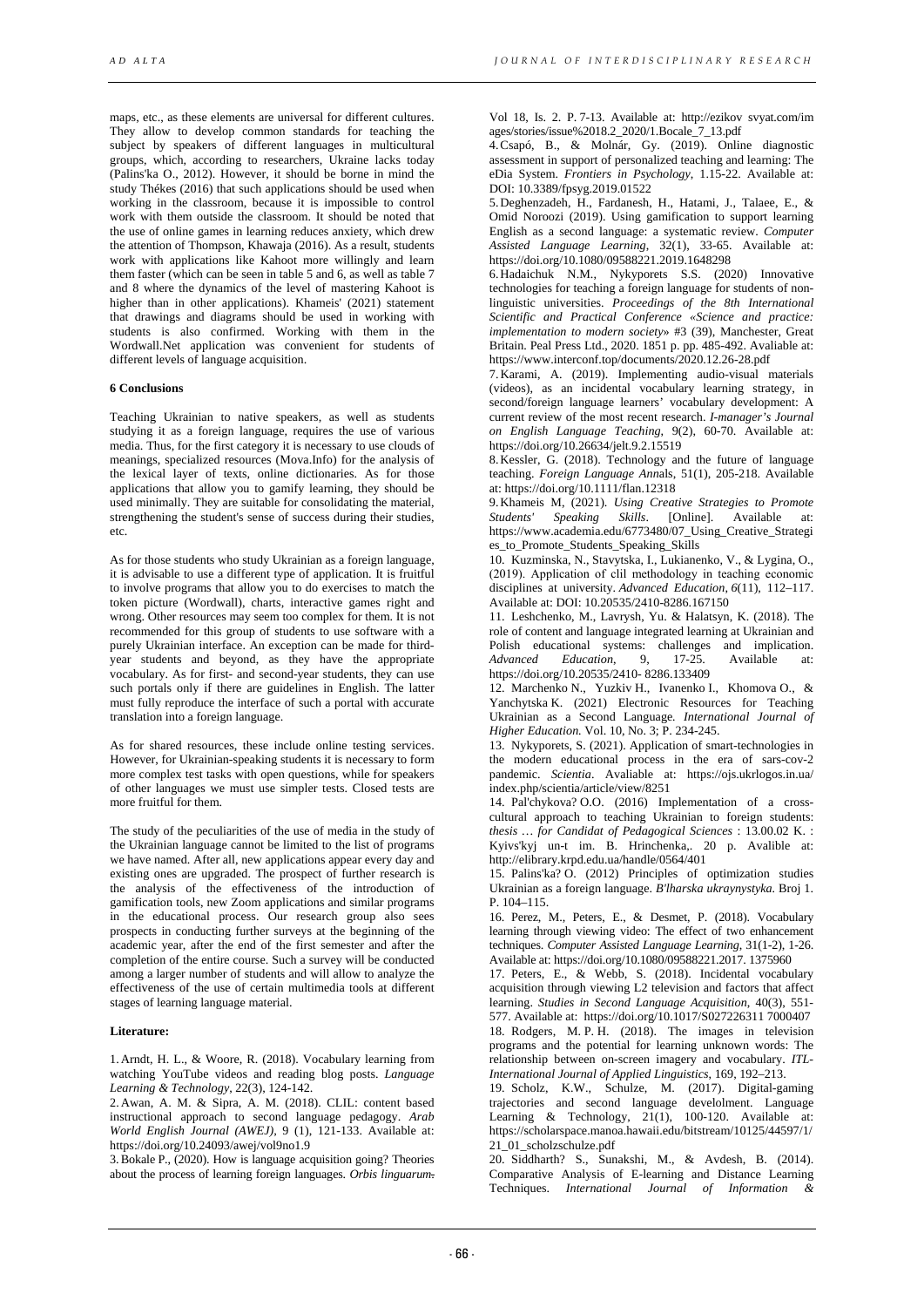maps, etc., as these elements are universal for different cultures. They allow to develop common standards for teaching the subject by speakers of different languages in multicultural groups, which, according to researchers, Ukraine lacks today (Palins'ka O., 2012). However, it should be borne in mind the study Thékes (2016) that such applications should be used when working in the classroom, because it is impossible to control work with them outside the classroom. It should be noted that the use of online games in learning reduces anxiety, which drew the attention of Thompson, Khawaja (2016). As a result, students work with applications like Kahoot more willingly and learn them faster (which can be seen in table 5 and 6, as well as table 7 and 8 where the dynamics of the level of mastering Kahoot is higher than in other applications). Khameis' (2021) statement that drawings and diagrams should be used in working with students is also confirmed. Working with them in the Wordwall.Net application was convenient for students of different levels of language acquisition.

## **6 Conclusions**

Teaching Ukrainian to native speakers, as well as students studying it as a foreign language, requires the use of various media. Thus, for the first category it is necessary to use clouds of meanings, specialized resources (Mova.Info) for the analysis of the lexical layer of texts, online dictionaries. As for those applications that allow you to gamify learning, they should be used minimally. They are suitable for consolidating the material, strengthening the student's sense of success during their studies, etc.

As for those students who study Ukrainian as a foreign language, it is advisable to use a different type of application. It is fruitful to involve programs that allow you to do exercises to match the token picture (Wordwall), charts, interactive games right and wrong. Other resources may seem too complex for them. It is not recommended for this group of students to use software with a purely Ukrainian interface. An exception can be made for thirdyear students and beyond, as they have the appropriate vocabulary. As for first- and second-year students, they can use such portals only if there are guidelines in English. The latter must fully reproduce the interface of such a portal with accurate translation into a foreign language.

As for shared resources, these include online testing services. However, for Ukrainian-speaking students it is necessary to form more complex test tasks with open questions, while for speakers of other languages we must use simpler tests. Closed tests are more fruitful for them.

The study of the peculiarities of the use of media in the study of the Ukrainian language cannot be limited to the list of programs we have named. After all, new applications appear every day and existing ones are upgraded. The prospect of further research is the analysis of the effectiveness of the introduction of gamification tools, new Zoom applications and similar programs in the educational process. Our research group also sees prospects in conducting further surveys at the beginning of the academic year, after the end of the first semester and after the completion of the entire course. Such a survey will be conducted among a larger number of students and will allow to analyze the effectiveness of the use of certain multimedia tools at different stages of learning language material.

## **Literature:**

1.Arndt, H. L., & Woore, R. (2018). Vocabulary learning from watching YouTube videos and reading blog posts. *Language Learning & Technology*, 22(3), 124-142.

2.Awan, A. M. & Sipra, A. M. (2018). CLIL: content based instructional approach to second language pedagogy. *Arab World English Journal (AWEJ),* 9 (1), 121-133. Available at: https://doi.org/10.24093/awej/vol9no1.9

3.Bokale P., (2020). How is language acquisition going? Theories about the process of learning foreign languages. *Orbis linguarum*. Vol 18, Is. 2. P. 7-13. Available at: http://ezikov svyat.com/im ages/stories/issue%2018.2\_2020/1.Bocale\_7\_13.pdf

4.Csapó, B., & Molnár, Gy. (2019). Online diagnostic assessment in support of personalized teaching and learning: The eDia System. *Frontiers in Psychology*, 1.15-22. Available at: DOI: [10.3389/fpsyg.2019.01522](https://doi.org/10.3389/fpsyg.2019.01522)

5.Deghenzadeh, H., Fardanesh, H., Hatami, J., Talaee, E., & Omid Noroozi (2019). Using gamification to support learning English as a second language: a systematic review. *Computer Assisted Language Learning*, 32(1), 33-65. Available at: <https://doi.org/10.1080/09588221.2019.1648298>

6.Hadaichuk N.M., Nykyporets S.S. (2020) Innovative technologies for teaching a foreign language for students of nonlinguistic universities. *Proceedings of the 8th International Scientific and Practical Conference «Science and practice: implementation to modern society*» #3 (39), Manchester, Great Britain. Peal Press Ltd., 2020. 1851 p. pp. 485-492. Avaliable at: https://www.interconf.top/documents/2020.12.26-28.pdf

7.Karami, A. (2019). Implementing audio-visual materials (videos), as an incidental vocabulary learning strategy, in second/foreign language learners' vocabulary development: A current review of the most recent research. *I-manager's Journal on English Language Teaching*, 9(2), 60-70. Available at: <https://doi.org/10.26634/jelt.9.2.15519>

8.Kessler, G. (2018). Technology and the future of language teaching. *Foreign Language Ann*als, 51(1), 205-218. Available at[: https://doi.org/10.1111/flan.12318](https://doi.org/10.1111/flan.12318)

9.Khameis M, (2021). *Using Creative Strategies to Promote Students' Speaking Skills*. [Online]. Available at: [https://www.academia.edu/6773480/07\\_Using\\_Creative\\_Strategi](https://www.academia.edu/6773480/07_Using_Creative_Strategies_to_Promote_Students_Speaking_Skills) es to Promote Students Speaking Skills

10. Kuzminska, N., Stavytska, I., Lukianenko, V., & Lygina, O., (2019). Аpplication of clil methodology in teaching economic disciplines at university. *Advanced Education*, *6*(11), 112–117. Available at: DOI: 10.20535/2410-8286.167150

11. Leshchenko, M., Lavrysh, Yu. & Halatsyn, K. (2018). The role of content and language integrated learning at Ukrainian and Polish educational systems: challenges and implication.<br>Advanced Education. 9. 17-25. Available at: *Advanced Education*, 9, 17-25. Available at: [https://doi.org/10.20535/2410- 8286.133409](https://doi.org/10.20535/2410-%208286.133409)

12. Marchenko N., Yuzkiv H., Ivanenko I., Khomova O., & Yanchytska K. (2021) Electronic Resources for Teaching Ukrainian as a Second Language*. International Journal of Higher Education.* Vol. 10, No. 3; P. 234-245.

13. Nykyporets, S. (2021). Application of smart-technologies in the modern educational process in the era of sars-cov-2 pandemic. *Scientia*. Avaliable at: https://ojs.ukrlogos.in.ua/ index.php/scientia/article/view/8251

14. Pal'chykova? O.O. (2016) Implementation of a crosscultural approach to teaching Ukrainian to foreign students: *thesis … for Candidat of Pedagogical Sciences* : 13.00.02 K. : Kyivs'kyj un-t im. B. Hrinchenka,. 20 p. Avalible at: <http://elibrary.krpd.edu.ua/handle/0564/401>

15. Palins'ka? O. (2012) Principles of optimization studies Ukrainian as a foreign language. *B'lharska ukraynystyka.* Broj 1. P. 104–115.

16. Perez, M., Peters, E., & Desmet, P. (2018). Vocabulary learning through viewing video: The effect of two enhancement techniques. *Computer Assisted Language Learning*, 31(1-2), 1-26. Available at: https://doi.org/10.1080/09588221.2017. 1375960

17. Peters, E., & Webb, S. (2018). Incidental vocabulary acquisition through viewing L2 television and factors that affect learning. *Studies in Second Language Acquisition*, 40(3), 551- 577. Available at: [https://doi.org/10.1017/S027226311 7000407](https://doi.org/10.1017/S027226311%207000407) 18. Rodgers, M. P. H. (2018). The images in television programs and the potential for learning unknown words: The relationship between on-screen imagery and vocabulary. *ITL-International Journal of Applied Linguistics*, 169, 192–213.

19. Scholz, K.W., Schulze, M. (2017). Digital-gaming trajectories and second language develolment. Language Learning & Technology, 21(1), 100-120. Available at: https://scholarspace.manoa.hawaii.edu/bitstream/10125/44597/1/ 21\_01\_scholzschulze.pdf

20. Siddharth? S., Sunakshi, M., & Avdesh, B. (2014). Comparative Analysis of E-learning and Distance Learning Techniques. *International Journal of Information &*